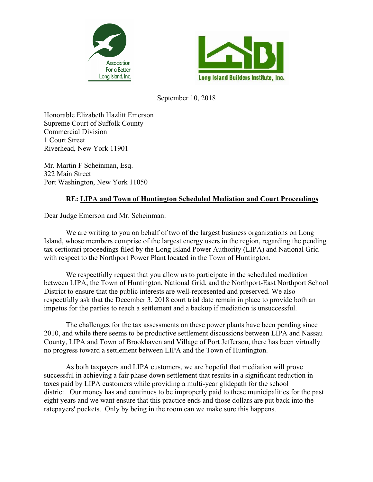



September 10, 2018

Honorable Elizabeth Hazlitt Emerson Supreme Court of Suffolk County Commercial Division 1 Court Street Riverhead, New York 11901

Mr. Martin F Scheinman, Esq. 322 Main Street Port Washington, New York 11050

## **RE: LIPA and Town of Huntington Scheduled Mediation and Court Proceedings**

Dear Judge Emerson and Mr. Scheinman:

We are writing to you on behalf of two of the largest business organizations on Long Island, whose members comprise of the largest energy users in the region, regarding the pending tax certiorari proceedings filed by the Long Island Power Authority (LIPA) and National Grid with respect to the Northport Power Plant located in the Town of Huntington.

We respectfully request that you allow us to participate in the scheduled mediation between LIPA, the Town of Huntington, National Grid, and the Northport-East Northport School District to ensure that the public interests are well-represented and preserved. We also respectfully ask that the December 3, 2018 court trial date remain in place to provide both an impetus for the parties to reach a settlement and a backup if mediation is unsuccessful.

The challenges for the tax assessments on these power plants have been pending since 2010, and while there seems to be productive settlement discussions between LIPA and Nassau County, LIPA and Town of Brookhaven and Village of Port Jefferson, there has been virtually no progress toward a settlement between LIPA and the Town of Huntington.

As both taxpayers and LIPA customers, we are hopeful that mediation will prove successful in achieving a fair phase down settlement that results in a significant reduction in taxes paid by LIPA customers while providing a multi-year glidepath for the school district. Our money has and continues to be improperly paid to these municipalities for the past eight years and we want ensure that this practice ends and those dollars are put back into the ratepayers' pockets. Only by being in the room can we make sure this happens.